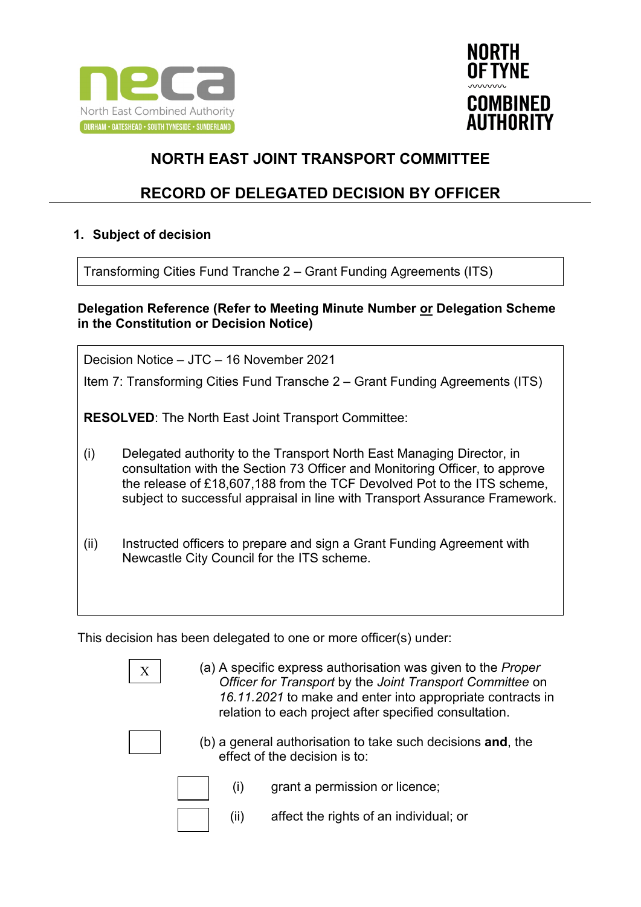



## **RECORD OF DELEGATED DECISION BY OFFICER**

#### **1. Subject of decision**

Transforming Cities Fund Tranche 2 – Grant Funding Agreements (ITS)

#### **Delegation Reference (Refer to Meeting Minute Number or Delegation Scheme in the Constitution or Decision Notice)**

Decision Notice – JTC – 16 November 2021

Item 7: Transforming Cities Fund Transche 2 – Grant Funding Agreements (ITS)

**RESOLVED**: The North East Joint Transport Committee:

- (i) Delegated authority to the Transport North East Managing Director, in consultation with the Section 73 Officer and Monitoring Officer, to approve the release of £18,607,188 from the TCF Devolved Pot to the ITS scheme, subject to successful appraisal in line with Transport Assurance Framework.
- (ii) Instructed officers to prepare and sign a Grant Funding Agreement with Newcastle City Council for the ITS scheme.

This decision has been delegated to one or more officer(s) under:

(a) A specific express authorisation was given to the *Proper Officer for Transport* by the *Joint Transport Committee* on *16.11.2021* to make and enter into appropriate contracts in relation to each project after specified consultation.



(b) a general authorisation to take such decisions **and**, the effect of the decision is to:

- (i) grant a permission or licence;
- (ii) affect the rights of an individual; or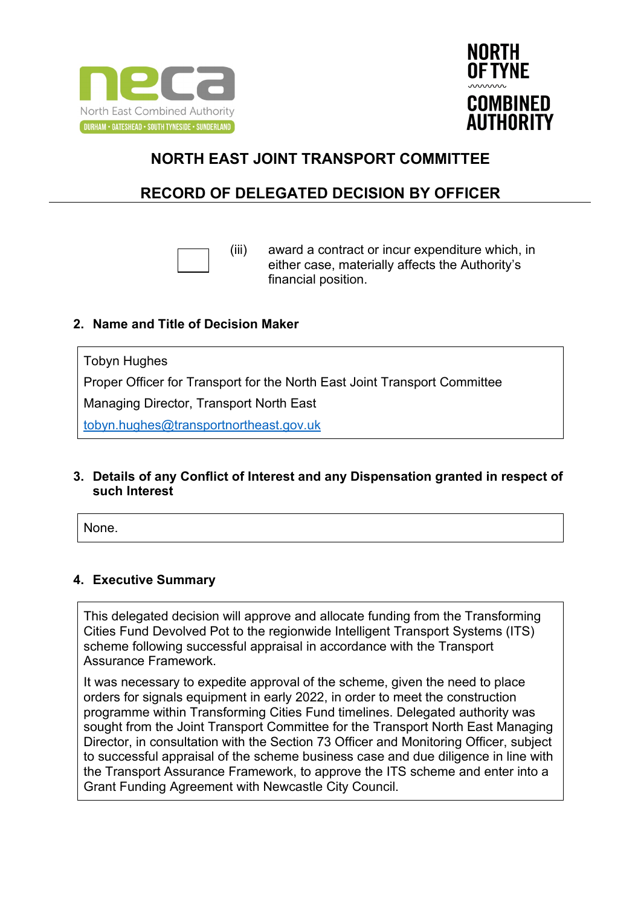



## **RECORD OF DELEGATED DECISION BY OFFICER**



(iii) award a contract or incur expenditure which, in either case, materially affects the Authority's financial position.

#### **2. Name and Title of Decision Maker**

Tobyn Hughes Proper Officer for Transport for the North East Joint Transport Committee Managing Director, Transport North East [tobyn.hughes@transportnortheast.gov.uk](mailto:tobyn.hughes@transportnortheast.gov.uk)

#### **3. Details of any Conflict of Interest and any Dispensation granted in respect of such Interest**

None.

### **4. Executive Summary**

This delegated decision will approve and allocate funding from the Transforming Cities Fund Devolved Pot to the regionwide Intelligent Transport Systems (ITS) scheme following successful appraisal in accordance with the Transport Assurance Framework.

It was necessary to expedite approval of the scheme, given the need to place orders for signals equipment in early 2022, in order to meet the construction programme within Transforming Cities Fund timelines. Delegated authority was sought from the Joint Transport Committee for the Transport North East Managing Director, in consultation with the Section 73 Officer and Monitoring Officer, subject to successful appraisal of the scheme business case and due diligence in line with the Transport Assurance Framework, to approve the ITS scheme and enter into a Grant Funding Agreement with Newcastle City Council.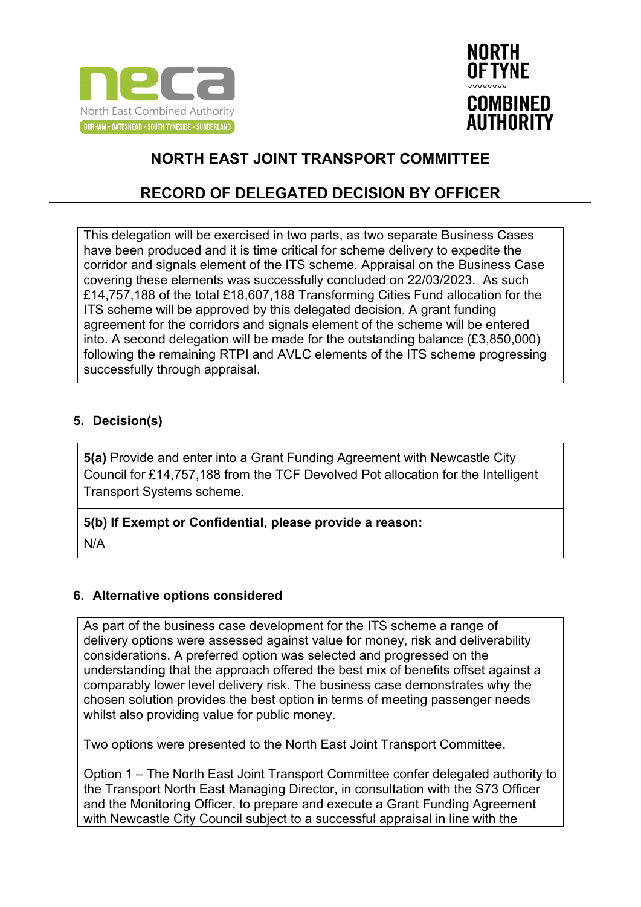



## **RECORD OF DELEGATED DECISION BY OFFICER**

This delegation will be exercised in two parts, as two separate Business Cases have been produced and it is time critical for scheme delivery to expedite the corridor and signals element of the ITS scheme. Appraisal on the Business Case covering these elements was successfully concluded on 22/03/2023. As such £14,757,188 of the total £18,607,188 Transforming Cities Fund allocation for the ITS scheme will be approved by this delegated decision. A grant funding agreement for the corridors and signals element of the scheme will be entered into. A second delegation will be made for the outstanding balance (£3,850,000) following the remaining RTPI and AVLC elements of the ITS scheme progressing successfully through appraisal.

### **5. Decision(s)**

**5(a)** Provide and enter into a Grant Funding Agreement with Newcastle City Council for £14,757,188 from the TCF Devolved Pot allocation for the Intelligent Transport Systems scheme.

### **5(b) If Exempt or Confidential, please provide a reason:**

N/A

### **6. Alternative options considered**

As part of the business case development for the ITS scheme a range of delivery options were assessed against value for money, risk and deliverability considerations. A preferred option was selected and progressed on the understanding that the approach offered the best mix of benefits offset against a comparably lower level delivery risk. The business case demonstrates why the chosen solution provides the best option in terms of meeting passenger needs whilst also providing value for public money.

Two options were presented to the North East Joint Transport Committee.

Option 1 – The North East Joint Transport Committee confer delegated authority to the Transport North East Managing Director, in consultation with the S73 Officer and the Monitoring Officer, to prepare and execute a Grant Funding Agreement with Newcastle City Council subject to a successful appraisal in line with the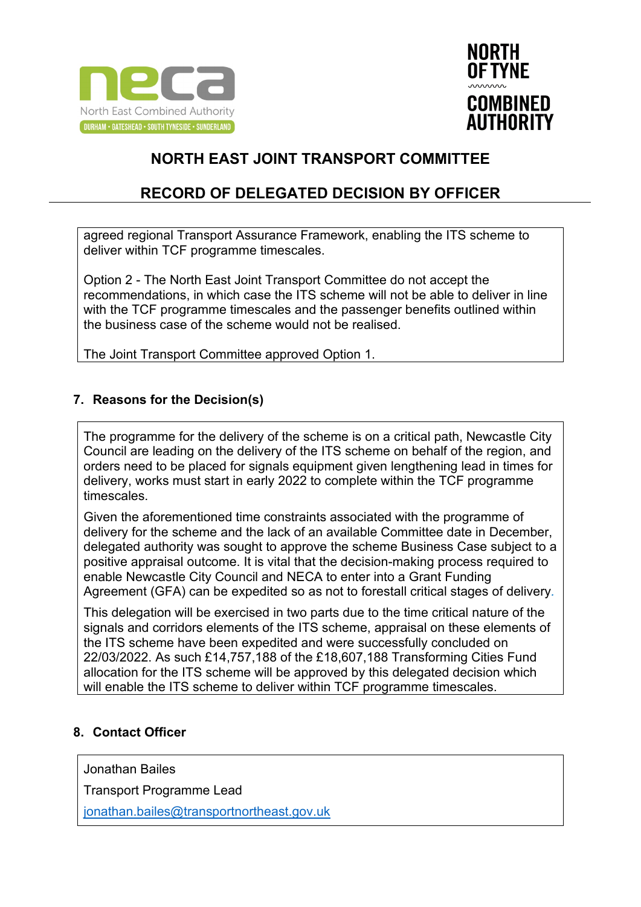



## **RECORD OF DELEGATED DECISION BY OFFICER**

agreed regional Transport Assurance Framework, enabling the ITS scheme to deliver within TCF programme timescales.

Option 2 - The North East Joint Transport Committee do not accept the recommendations, in which case the ITS scheme will not be able to deliver in line with the TCF programme timescales and the passenger benefits outlined within the business case of the scheme would not be realised.

The Joint Transport Committee approved Option 1.

#### **7. Reasons for the Decision(s)**

The programme for the delivery of the scheme is on a critical path, Newcastle City Council are leading on the delivery of the ITS scheme on behalf of the region, and orders need to be placed for signals equipment given lengthening lead in times for delivery, works must start in early 2022 to complete within the TCF programme timescales.

Given the aforementioned time constraints associated with the programme of delivery for the scheme and the lack of an available Committee date in December, delegated authority was sought to approve the scheme Business Case subject to a positive appraisal outcome. It is vital that the decision-making process required to enable Newcastle City Council and NECA to enter into a Grant Funding Agreement (GFA) can be expedited so as not to forestall critical stages of delivery*.*

This delegation will be exercised in two parts due to the time critical nature of the signals and corridors elements of the ITS scheme, appraisal on these elements of the ITS scheme have been expedited and were successfully concluded on 22/03/2022. As such £14,757,188 of the £18,607,188 Transforming Cities Fund allocation for the ITS scheme will be approved by this delegated decision which will enable the ITS scheme to deliver within TCF programme timescales.

### **8. Contact Officer**

Jonathan Bailes

Transport Programme Lead

[jonathan.bailes@transportnortheast.gov.uk](mailto:jonathan.bailes@transportnortheast.gov.uk)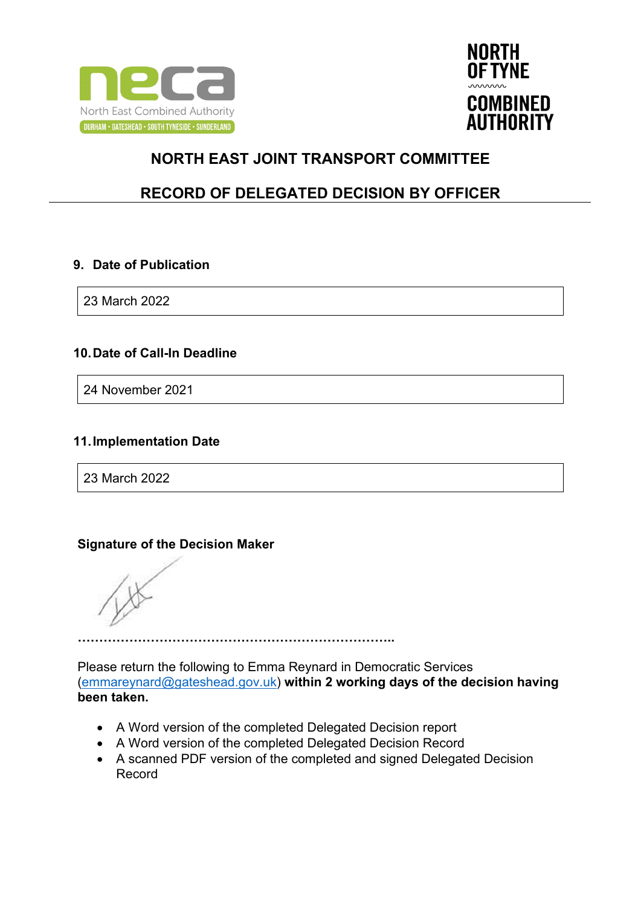



## **RECORD OF DELEGATED DECISION BY OFFICER**

#### **9. Date of Publication**

23 March 2022

### **10.Date of Call-In Deadline**

24 November 2021

### **11.Implementation Date**

23 March 2022

### **Signature of the Decision Maker**

**………………………………………………………………..**

Please return the following to Emma Reynard in Democratic Services [\(emmareynard@gateshead.gov.uk\)](mailto:emmareynard@gateshead.gov.uk) **within 2 working days of the decision having been taken.**

- A Word version of the completed Delegated Decision report
- A Word version of the completed Delegated Decision Record
- A scanned PDF version of the completed and signed Delegated Decision Record